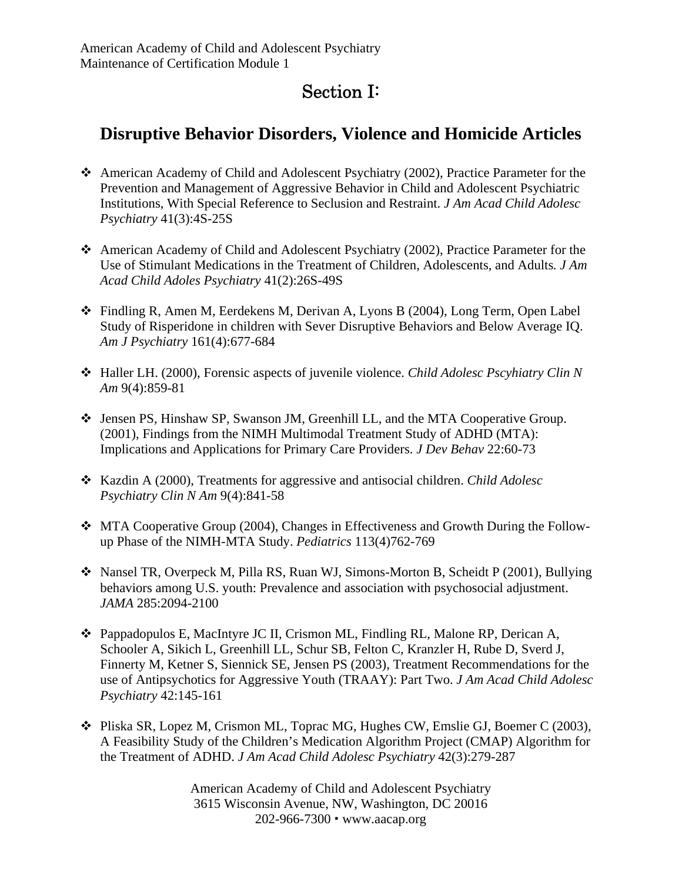## Section I:

## **Disruptive Behavior Disorders, Violence and Homicide Articles**

- American Academy of Child and Adolescent Psychiatry (2002), Practice Parameter for the Prevention and Management of Aggressive Behavior in Child and Adolescent Psychiatric Institutions, With Special Reference to Seclusion and Restraint. *J Am Acad Child Adolesc Psychiatry* 41(3):4S-25S
- American Academy of Child and Adolescent Psychiatry (2002), Practice Parameter for the Use of Stimulant Medications in the Treatment of Children, Adolescents, and Adults*. J Am Acad Child Adoles Psychiatry* 41(2):26S-49S
- Findling R, Amen M, Eerdekens M, Derivan A, Lyons B (2004), Long Term, Open Label Study of Risperidone in children with Sever Disruptive Behaviors and Below Average IQ. *Am J Psychiatry* 161(4):677-684
- Haller LH. (2000), Forensic aspects of juvenile violence. *Child Adolesc Pscyhiatry Clin N Am* 9(4):859-81
- Jensen PS, Hinshaw SP, Swanson JM, Greenhill LL, and the MTA Cooperative Group. (2001), Findings from the NIMH Multimodal Treatment Study of ADHD (MTA): Implications and Applications for Primary Care Providers. *J Dev Behav* 22:60-73
- Kazdin A (2000), Treatments for aggressive and antisocial children. *Child Adolesc Psychiatry Clin N Am* 9(4):841-58
- MTA Cooperative Group (2004), Changes in Effectiveness and Growth During the Followup Phase of the NIMH-MTA Study. *Pediatrics* 113(4)762-769
- Nansel TR, Overpeck M, Pilla RS, Ruan WJ, Simons-Morton B, Scheidt P (2001), Bullying behaviors among U.S. youth: Prevalence and association with psychosocial adjustment. *JAMA* 285:2094-2100
- Pappadopulos E, MacIntyre JC II, Crismon ML, Findling RL, Malone RP, Derican A, Schooler A, Sikich L, Greenhill LL, Schur SB, Felton C, Kranzler H, Rube D, Sverd J, Finnerty M, Ketner S, Siennick SE, Jensen PS (2003), Treatment Recommendations for the use of Antipsychotics for Aggressive Youth (TRAAY): Part Two. *J Am Acad Child Adolesc Psychiatry* 42:145-161
- Pliska SR, Lopez M, Crismon ML, Toprac MG, Hughes CW, Emslie GJ, Boemer C (2003), A Feasibility Study of the Children's Medication Algorithm Project (CMAP) Algorithm for the Treatment of ADHD. *J Am Acad Child Adolesc Psychiatry* 42(3):279-287

American Academy of Child and Adolescent Psychiatry 3615 Wisconsin Avenue, NW, Washington, DC 20016 202-966-7300 www.aacap.org